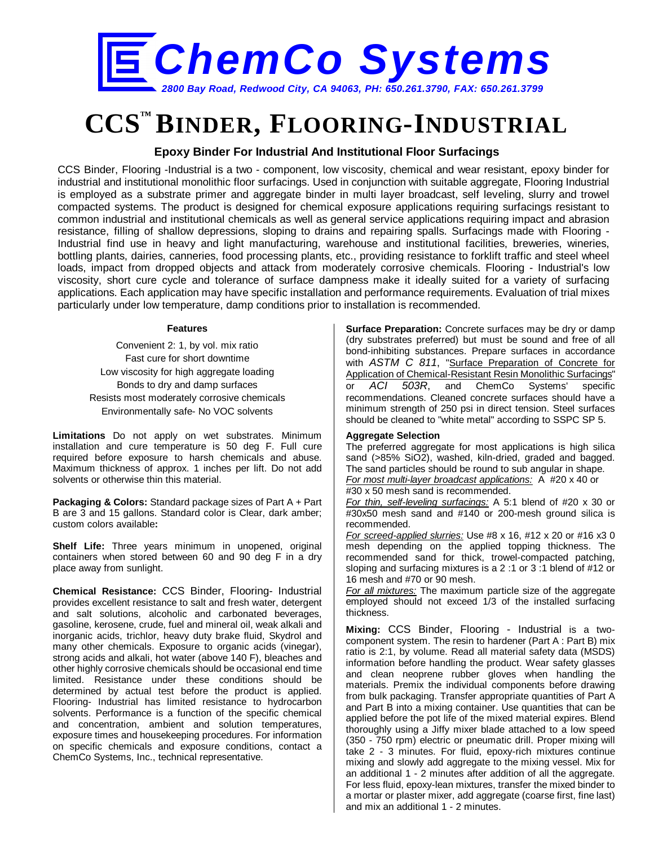

# **CCS™ BINDER, FLOORING-INDUSTRIAL**

### **Epoxy Binder For Industrial And Institutional Floor Surfacings**

CCS Binder, Flooring -Industrial is a two - component, low viscosity, chemical and wear resistant, epoxy binder for industrial and institutional monolithic floor surfacings. Used in conjunction with suitable aggregate, Flooring Industrial is employed as a substrate primer and aggregate binder in multi layer broadcast, self leveling, slurry and trowel compacted systems. The product is designed for chemical exposure applications requiring surfacings resistant to common industrial and institutional chemicals as well as general service applications requiring impact and abrasion resistance, filling of shallow depressions, sloping to drains and repairing spalls. Surfacings made with Flooring - Industrial find use in heavy and light manufacturing, warehouse and institutional facilities, breweries, wineries, bottling plants, dairies, canneries, food processing plants, etc., providing resistance to forklift traffic and steel wheel loads, impact from dropped objects and attack from moderately corrosive chemicals. Flooring - Industrial's low viscosity, short cure cycle and tolerance of surface dampness make it ideally suited for a variety of surfacing applications. Each application may have specific installation and performance requirements. Evaluation of trial mixes particularly under low temperature, damp conditions prior to installation is recommended.

#### **Features**

Convenient 2: 1, by vol. mix ratio Fast cure for short downtime Low viscosity for high aggregate loading Bonds to dry and damp surfaces Resists most moderately corrosive chemicals Environmentally safe- No VOC solvents

**Limitations** Do not apply on wet substrates. Minimum installation and cure temperature is 50 deg F. Full cure required before exposure to harsh chemicals and abuse. Maximum thickness of approx. 1 inches per lift. Do not add solvents or otherwise thin this material.

**Packaging & Colors:** Standard package sizes of Part A + Part B are 3 and 15 gallons. Standard color is Clear, dark amber; custom colors available**:**

**Shelf Life:** Three years minimum in unopened, original containers when stored between 60 and 90 deg F in a dry place away from sunlight.

**Chemical Resistance:** CCS Binder, Flooring- Industrial provides excellent resistance to salt and fresh water, detergent and salt solutions, alcoholic and carbonated beverages, gasoline, kerosene, crude, fuel and mineral oil, weak alkali and inorganic acids, trichlor, heavy duty brake fluid, Skydrol and many other chemicals. Exposure to organic acids (vinegar), strong acids and alkali, hot water (above 140 F), bleaches and other highly corrosive chemicals should be occasional end time limited. Resistance under these conditions should be determined by actual test before the product is applied. Flooring- Industrial has limited resistance to hydrocarbon solvents. Performance is a function of the specific chemical and concentration, ambient and solution temperatures, exposure times and housekeeping procedures. For information on specific chemicals and exposure conditions, contact a ChemCo Systems, Inc., technical representative.

**Surface Preparation:** Concrete surfaces may be dry or damp (dry substrates preferred) but must be sound and free of all bond-inhibiting substances. Prepare surfaces in accordance with *ASTM C 811*, "Surface Preparation of Concrete for Application of Chemical-Resistant Resin Monolithic Surfacings" or *ACI 503R*, and ChemCo Systems' specific recommendations. Cleaned concrete surfaces should have a minimum strength of 250 psi in direct tension. Steel surfaces should be cleaned to "white metal" according to SSPC SP 5.

#### **Aggregate Selection**

The preferred aggregate for most applications is high silica sand (>85% SiO2), washed, kiln-dried, graded and bagged. The sand particles should be round to sub angular in shape. *For most multi-layer broadcast applications:* A #20 x 40 or #30 x 50 mesh sand is recommended.

*For thin, self-leveling surfacings:* A 5:1 blend of #20 x 30 or #30x50 mesh sand and #140 or 200-mesh ground silica is recommended.

*For screed-applied slurries:* Use #8 x 16, #12 x 20 or #16 x3 0 mesh depending on the applied topping thickness. The recommended sand for thick, trowel-compacted patching, sloping and surfacing mixtures is a 2 :1 or 3 :1 blend of #12 or 16 mesh and #70 or 90 mesh.

*For all mixtures:* The maximum particle size of the aggregate employed should not exceed 1/3 of the installed surfacing thickness.

**Mixing:** CCS Binder, Flooring - Industrial is a twocomponent system. The resin to hardener (Part A : Part B) mix ratio is 2:1, by volume. Read all material safety data (MSDS) information before handling the product. Wear safety glasses and clean neoprene rubber gloves when handling the materials. Premix the individual components before drawing from bulk packaging. Transfer appropriate quantities of Part A and Part B into a mixing container. Use quantities that can be applied before the pot life of the mixed material expires. Blend thoroughly using a Jiffy mixer blade attached to a low speed (350 - 750 rpm) electric or pneumatic drill. Proper mixing will take 2 - 3 minutes. For fluid, epoxy-rich mixtures continue mixing and slowly add aggregate to the mixing vessel. Mix for an additional 1 - 2 minutes after addition of all the aggregate. For less fluid, epoxy-lean mixtures, transfer the mixed binder to a mortar or plaster mixer, add aggregate (coarse first, fine last) and mix an additional 1 - 2 minutes.